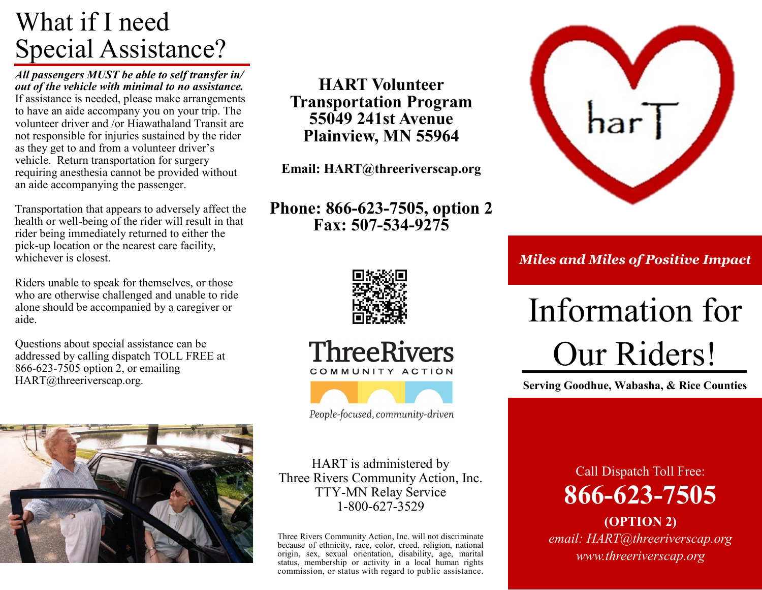### What if I need Special Assistance?

*All passengers MUST be able to self transfer in/ out of the vehicle with minimal to no assistance.*  If assistance is needed, please make arrangements to have an aide accompany you on your trip. The volunteer driver and /or Hiawathaland Transit are not responsible for injuries sustained by the rider as they get to and from a volunteer driver's vehicle. Return transportation for surgery requiring anesthesia cannot be provided without an aide accompanying the passenger.

Transportation that appears to adversely affect the health or well-being of the rider will result in that rider being immediately returned to either the pick-up location or the nearest care facility, whichever is closest.

Riders unable to speak for themselves, or those who are otherwise challenged and unable to ride alone should be accompanied by a caregiver or aide.

Questions about special assistance can be addressed by calling dispatch TOLL FREE at 866-623-7505 option 2, or emailing HART@threeriverscap.org.



**HART Volunteer Transportation Program 55049 241st Avenue Plainview, MN 55964**

**Email: HART@threeriverscap.org**

### **Phone: 866-623-7505, option 2 Fax: 507-534-9275**



Hiawathaland Auxiliary Regional Transit *Miles and Miles of Positive Impact*

# Information for Our Riders!

**Serving Goodhue, Wabasha, & Rice Counties** 



**ThreeRivers** 

COMMUNITY ACTION

People-focused, community-driven

HART is administered by Three Rivers Community Action, Inc. TTY-MN Relay Service 1-800-627-3529

Three Rivers Community Action, Inc. will not discriminate because of ethnicity, race, color, creed, religion, national origin, sex, sexual orientation, disability, age, marital status, membership or activity in a local human rights commission, or status with regard to public assistance.

Call Dispatch Toll Free: **866-623-7505**

**(OPTION 2)** *email: HART@threeriverscap.org www.threeriverscap.org*